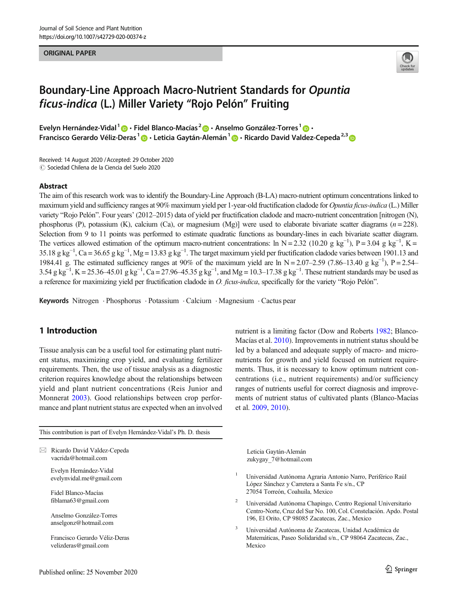#### ORIGINAL PAPER



# Boundary-Line Approach Macro-Nutrient Standards for Opuntia ficus-indica (L.) Miller Variety "Rojo Pelón" Fruiting

Evelyn Hernández-Vidal<sup>1</sup>  $\cdot$  Fidel Blanco-Macías<sup>2</sup>  $\cdot$  Anselmo González-Torres<sup>1</sup>  $\cdot$ Francisco Gerardo Véliz-Deras<sup>1</sup> (D · Leticia Gaytán-Alemán<sup>1</sup> © · Ricardo David Valdez-Cepeda<sup>2,3</sup> ©

Received: 14 August 2020 /Accepted: 29 October 2020  $\odot$  Sociedad Chilena de la Ciencia del Suelo 2020

#### Abstract

The aim of this research work was to identify the Boundary-Line Approach (B-LA) macro-nutrient optimum concentrations linked to maximum yield and sufficiency ranges at 90% maximum yield per 1-year-old fructification cladode for *Opuntia ficus-indica* (L.) Miller variety "Rojo Pelón". Four years' (2012–2015) data of yield per fructification cladode and macro-nutrient concentration [nitrogen (N), phosphorus (P), potassium (K), calcium (Ca), or magnesium (Mg)] were used to elaborate bivariate scatter diagrams ( $n = 228$ ). Selection from 9 to 11 points was performed to estimate quadratic functions as boundary-lines in each bivariate scatter diagram. The vertices allowed estimation of the optimum macro-nutrient concentrations: ln N = 2.32 (10.20 g kg<sup>-1</sup>), P = 3.04 g kg<sup>-1</sup>, K = 35.18 g kg<sup>-1</sup>, Ca = 36.65 g kg<sup>-1</sup>, Mg = 13.83 g kg<sup>-1</sup>. The target maximum yield per fructification cladode varies between 1901.13 and 1984.41 g. The estimated sufficiency ranges at 90% of the maximum yield are ln N = 2.07–2.59 (7.86–13.40 g kg<sup>-1</sup>), P = 2.54– 3.54 g kg<sup>-1</sup>, K = 25.36–45.01 g kg<sup>-1</sup>, Ca = 27.96–45.35 g kg<sup>-1</sup>, and Mg = 10.3–17.38 g kg<sup>-1</sup>. These nutrient standards may be used as a reference for maximizing yield per fructification cladode in O. ficus-indica, specifically for the variety "Rojo Pelón".

Keywords Nitrogen . Phosphorus . Potassium . Calcium . Magnesium . Cactus pear

# 1 Introduction

Tissue analysis can be a useful tool for estimating plant nutrient status, maximizing crop yield, and evaluating fertilizer requirements. Then, the use of tissue analysis as a diagnostic criterion requires knowledge about the relationships between yield and plant nutrient concentrations (Reis Junior and Monnerat [2003](#page-8-0)). Good relationships between crop performance and plant nutrient status are expected when an involved nutrient is a limiting factor (Dow and Roberts [1982](#page-7-0); Blanco-Macías et al. [2010\)](#page-7-0). Improvements in nutrient status should be led by a balanced and adequate supply of macro- and micronutrients for growth and yield focused on nutrient requirements. Thus, it is necessary to know optimum nutrient concentrations (i.e., nutrient requirements) and/or sufficiency ranges of nutrients useful for correct diagnosis and improvements of nutrient status of cultivated plants (Blanco-Macías et al. [2009](#page-7-0), [2010\)](#page-7-0).

This contribution is part of Evelyn Hernández-Vidal's Ph. D. thesis

 $\boxtimes$  Ricardo David Valdez-Cepeda [vacrida@hotmail.com](mailto:vacrida@hotmail.com)

> Evelyn Hernández-Vidal evelynvidal.me@gmail.com

Fidel Blanco-Macías fiblama63@gmail.com

Anselmo González-Torres anselgonz@hotmail.com

Francisco Gerardo Véliz-Deras velizderas@gmail.com

Leticia Gaytán-Alemán zukygay\_7@hotmail.com

- <sup>1</sup> Universidad Autónoma Agraria Antonio Narro, Periférico Raúl López Sánchez y Carretera a Santa Fe s/n., CP 27054 Torreón, Coahuila, Mexico
- <sup>2</sup> Universidad Autónoma Chapingo, Centro Regional Universitario Centro-Norte, Cruz del Sur No. 100, Col. Constelación. Apdo. Postal 196, El Orito, CP 98085 Zacatecas, Zac., Mexico
- <sup>3</sup> Universidad Autónoma de Zacatecas, Unidad Académica de Matemáticas, Paseo Solidaridad s/n., CP 98064 Zacatecas, Zac., Mexico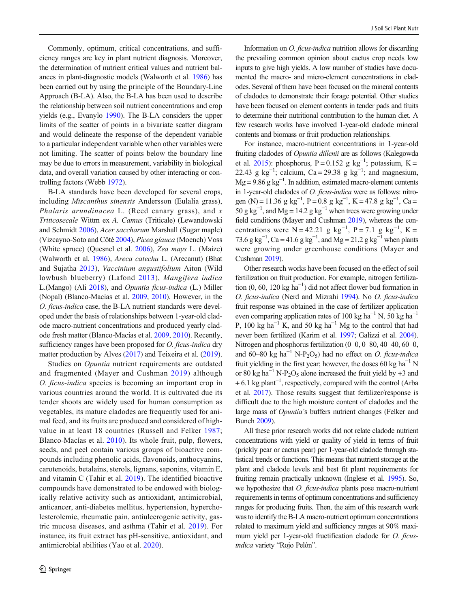Commonly, optimum, critical concentrations, and sufficiency ranges are key in plant nutrient diagnosis. Moreover, the determination of nutrient critical values and nutrient balances in plant-diagnostic models (Walworth et al. [1986\)](#page-8-0) has been carried out by using the principle of the Boundary-Line Approach (B-LA). Also, the B-LA has been used to describe the relationship between soil nutrient concentrations and crop yields (e.g., Evanylo [1990\)](#page-7-0). The B-LA considers the upper limits of the scatter of points in a bivariate scatter diagram and would delineate the response of the dependent variable to a particular independent variable when other variables were not limiting. The scatter of points below the boundary line may be due to errors in measurement, variability in biological data, and overall variation caused by other interacting or controlling factors (Webb [1972](#page-8-0)).

B-LA standards have been developed for several crops, including Miscanthus sinensis Andersson (Eulalia grass), Phalaris arundinacea L. (Reed canary grass), and  $x$ Triticosecale Wittm ex A. Camus (Triticale) (Lewandowski and Schmidt [2006](#page-7-0)), Acer saccharum Marshall (Sugar maple) (Vizcayno-Soto and Côté [2004\)](#page-8-0), Picea glauca (Moench) Voss (White spruce) (Quesnel et al. [2006](#page-7-0)), Zea mays L. (Maize) (Walworth et al. [1986\)](#page-8-0), Areca catechu L. (Arecanut) (Bhat and Sujatha [2013\)](#page-7-0), Vaccinium angustifolium Aiton (Wild lowbush blueberry) (Lafond [2013\)](#page-7-0), Mangifera indica L.(Mango) (Ali [2018\)](#page-7-0), and Opuntia ficus-indica (L.) Miller (Nopal) (Blanco-Macías et al. [2009](#page-7-0), [2010\)](#page-7-0). However, in the O. ficus-indica case, the B-LA nutrient standards were developed under the basis of relationships between 1-year-old cladode macro-nutrient concentrations and produced yearly cladode fresh matter (Blanco-Macías et al. [2009](#page-7-0), [2010](#page-7-0)). Recently, sufficiency ranges have been proposed for *O. ficus-indica* dry matter production by Alves [\(2017\)](#page-7-0) and Teixeira et al. [\(2019\)](#page-8-0).

Studies on Opuntia nutrient requirements are outdated and fragmented (Mayer and Cushman [2019](#page-7-0)) although O. ficus-indica species is becoming an important crop in various countries around the world. It is cultivated due its tender shoots are widely used for human consumption as vegetables, its mature cladodes are frequently used for animal feed, and its fruits are produced and considered of highvalue in at least 18 countries (Russell and Felker [1987](#page-8-0); Blanco-Macías et al. [2010](#page-7-0)). Its whole fruit, pulp, flowers, seeds, and peel contain various groups of bioactive compounds including phenolic acids, flavonoids, anthocyanins, carotenoids, betalains, sterols, lignans, saponins, vitamin E, and vitamin C (Tahir et al. [2019](#page-8-0)). The identified bioactive compounds have demonstrated to be endowed with biologically relative activity such as antioxidant, antimicrobial, anticancer, anti-diabetes mellitus, hypertension, hypercholesterolemic, rheumatic pain, antiulcerogenic activity, gastric mucosa diseases, and asthma (Tahir et al. [2019\)](#page-8-0). For instance, its fruit extract has pH-sensitive, antioxidant, and antimicrobial abilities (Yao et al. [2020\)](#page-8-0).

Information on O. ficus-indica nutrition allows for discarding the prevailing common opinion about cactus crop needs low inputs to give high yields. A low number of studies have documented the macro- and micro-element concentrations in cladodes. Several of them have been focused on the mineral contents of cladodes to demonstrate their forage potential. Other studies have been focused on element contents in tender pads and fruits to determine their nutritional contribution to the human diet. A few research works have involved 1-year-old cladode mineral contents and biomass or fruit production relationships.

For instance, macro-nutrient concentrations in 1-year-old fruiting cladodes of Opuntia dillenii are as follows (Kalegowda et al. [2015](#page-7-0)): phosphorus, P = 0.152 g kg<sup>-1</sup>; potassium, K = 22.43 g kg<sup>-1</sup>; calcium, Ca = 29.38 g kg<sup>-1</sup>; and magnesium,  $Mg = 9.86$  g kg<sup>-1</sup>. In addition, estimated macro-element contents in 1-year-old cladodes of O. ficus-indica were as follows: nitrogen (N) = 11.36 g kg<sup>-1</sup>, P = 0.8 g kg<sup>-1</sup>, K = 47.8 g kg<sup>-1</sup>, Ca = 50 g kg<sup>-1</sup>, and Mg = 14.2 g kg<sup>-1</sup> when trees were growing under field conditions (Mayer and Cushman [2019\)](#page-7-0), whereas the concentrations were  $N = 42.21$  g kg<sup>-1</sup>, P = 7.1 g kg<sup>-1</sup>, K = 73.6 g kg<sup>-1</sup>, Ca = 41.6 g kg<sup>-1</sup>, and Mg = 21.2 g kg<sup>-1</sup> when plants were growing under greenhouse conditions (Mayer and Cushman [2019](#page-7-0)).

Other research works have been focused on the effect of soil fertilization on fruit production. For example, nitrogen fertilization (0, 60, 120 kg ha−<sup>1</sup> ) did not affect flower bud formation in O. ficus-indica (Nerd and Mizrahi [1994\)](#page-7-0). No O. ficus-indica fruit response was obtained in the case of fertilizer application even comparing application rates of 100 kg ha<sup>-1</sup> N, 50 kg ha<sup>-1</sup> P, 100 kg ha<sup> $-1$ </sup> K, and 50 kg ha<sup> $-1$ </sup> Mg to the control that had never been fertilized (Karim et al. [1997;](#page-7-0) Galizzi et al. [2004\)](#page-7-0). Nitrogen and phosphorus fertilization (0–0, 0–80, 40–40, 60–0, and 60–80 kg ha<sup>-1</sup> N-P<sub>2</sub>O<sub>5</sub>) had no effect on *O. ficus-indica* fruit yielding in the first year; however, the doses 60 kg ha<sup> $-1$ </sup> N or 80 kg ha<sup> $-1$ </sup> N-P<sub>2</sub>O<sub>5</sub> alone increased the fruit yield by +3 and + 6.1 kg plant−<sup>1</sup> , respectively, compared with the control (Arba et al. [2017](#page-7-0)). Those results suggest that fertilizer/response is difficult due to the high moisture content of cladodes and the large mass of Opuntia's buffers nutrient changes (Felker and Bunch [2009\)](#page-7-0).

All these prior research works did not relate cladode nutrient concentrations with yield or quality of yield in terms of fruit (prickly pear or cactus pear) per 1-year-old cladode through statistical trends or functions. This means that nutrient storage at the plant and cladode levels and best fit plant requirements for fruiting remain practically unknown (Inglese et al. [1995\)](#page-7-0). So, we hypothesize that *O. ficus-indica* plants pose macro-nutrient requirements in terms of optimum concentrations and sufficiency ranges for producing fruits. Then, the aim of this research work was to identify the B-LA macro-nutrient optimum concentrations related to maximum yield and sufficiency ranges at 90% maximum yield per 1-year-old fructification cladode for *O. ficus*indica variety "Rojo Pelón".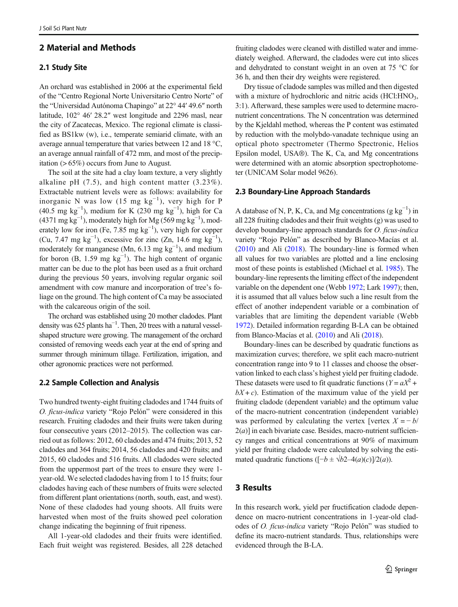# 2 Material and Methods

## 2.1 Study Site

An orchard was established in 2006 at the experimental field of the "Centro Regional Norte Universitario Centro Norte" of the "Universidad Autónoma Chapingo" at 22° 44′ 49.6″ north latitude, 102° 46′ 28.2″ west longitude and 2296 masl, near the city of Zacatecas, Mexico. The regional climate is classified as BS1kw (w), i.e., temperate semiarid climate, with an average annual temperature that varies between 12 and 18 °C, an average annual rainfall of 472 mm, and most of the precipitation (> 65%) occurs from June to August.

The soil at the site had a clay loam texture, a very slightly alkaline pH (7.5), and high content matter (3.23%). Extractable nutrient levels were as follows: availability for inorganic N was low  $(15 \text{ mg kg}^{-1})$ , very high for P (40.5 mg kg<sup>-1</sup>), medium for K (230 mg kg<sup>-1</sup>), high for Ca (4371 mg kg<sup>-1</sup>), moderately high for Mg (569 mg kg<sup>-1</sup>), moderately low for iron (Fe, 7.85 mg  $kg^{-1}$ ), very high for copper (Cu, 7.47 mg  $kg^{-1}$ ), excessive for zinc (Zn, 14.6 mg  $kg^{-1}$ ), moderately for manganese (Mn,  $6.13 \text{ mg kg}^{-1}$ ), and medium for boron  $(B, 1.59 \text{ mg kg}^{-1})$ . The high content of organic matter can be due to the plot has been used as a fruit orchard during the previous 50 years, involving regular organic soil amendment with cow manure and incorporation of tree's foliage on the ground. The high content of Ca may be associated with the calcareous origin of the soil.

The orchard was established using 20 mother cladodes. Plant density was  $625$  plants ha<sup>-1</sup>. Then, 20 trees with a natural vesselshaped structure were growing. The management of the orchard consisted of removing weeds each year at the end of spring and summer through minimum tillage. Fertilization, irrigation, and other agronomic practices were not performed.

## 2.2 Sample Collection and Analysis

Two hundred twenty-eight fruiting cladodes and 1744 fruits of O. ficus-indica variety "Rojo Pelón" were considered in this research. Fruiting cladodes and their fruits were taken during four consecutive years (2012–2015). The collection was carried out as follows: 2012, 60 cladodes and 474 fruits; 2013, 52 cladodes and 364 fruits; 2014, 56 cladodes and 420 fruits; and 2015, 60 cladodes and 516 fruits. All cladodes were selected from the uppermost part of the trees to ensure they were 1 year-old. We selected cladodes having from 1 to 15 fruits; four cladodes having each of these numbers of fruits were selected from different plant orientations (north, south, east, and west). None of these cladodes had young shoots. All fruits were harvested when most of the fruits showed peel coloration change indicating the beginning of fruit ripeness.

All 1-year-old cladodes and their fruits were identified. Each fruit weight was registered. Besides, all 228 detached

fruiting cladodes were cleaned with distilled water and immediately weighed. Afterward, the cladodes were cut into slices and dehydrated to constant weight in an oven at 75 °C for 36 h, and then their dry weights were registered.

Dry tissue of cladode samples was milled and then digested with a mixture of hydrochloric and nitric acids (HCl:HNO<sub>3</sub>, 3:1). Afterward, these samples were used to determine macronutrient concentrations. The N concentration was determined by the Kjeldahl method, whereas the P content was estimated by reduction with the molybdo-vanadate technique using an optical photo spectrometer (Thermo Spectronic, Helios Epsilon model, USA®). The K, Ca, and Mg concentrations were determined with an atomic absorption spectrophotometer (UNICAM Solar model 9626).

#### 2.3 Boundary-Line Approach Standards

A database of N, P, K, Ca, and Mg concentrations  $(g kg^{-1})$  in all 228 fruiting cladodes and their fruit weights (g) was used to develop boundary-line approach standards for O. ficus-indica variety "Rojo Pelón" as described by Blanco-Macías et al. [\(2010](#page-7-0)) and Ali [\(2018](#page-7-0)). The boundary-line is formed when all values for two variables are plotted and a line enclosing most of these points is established (Michael et al. [1985\)](#page-7-0). The boundary-line represents the limiting effect of the independent variable on the dependent one (Webb [1972](#page-8-0); Lark [1997](#page-7-0)); then, it is assumed that all values below such a line result from the effect of another independent variable or a combination of variables that are limiting the dependent variable (Webb [1972\)](#page-8-0). Detailed information regarding B-LA can be obtained from Blanco-Macías et al. [\(2010\)](#page-7-0) and Ali ([2018](#page-7-0)).

Boundary-lines can be described by quadratic functions as maximization curves; therefore, we split each macro-nutrient concentration range into 9 to 11 classes and choose the observation linked to each class's highest yield per fruiting cladode. These datasets were used to fit quadratic functions ( $Y = aX^2 +$  $bX + c$ ). Estimation of the maximum value of the yield per fruiting cladode (dependent variable) and the optimum value of the macro-nutrient concentration (independent variable) was performed by calculating the vertex [vertex  $X = -b/$  $2(a)$ ] in each bivariate case. Besides, macro-nutrient sufficiency ranges and critical concentrations at 90% of maximum yield per fruiting cladode were calculated by solving the estimated quadratic functions ( $[-b \pm \sqrt{b^2-4(a)(c)}]/2(a)$ ).

## 3 Results

In this research work, yield per fructification cladode dependence on macro-nutrient concentrations in 1-year-old cladodes of O. ficus-indica variety "Rojo Pelón" was studied to define its macro-nutrient standards. Thus, relationships were evidenced through the B-LA.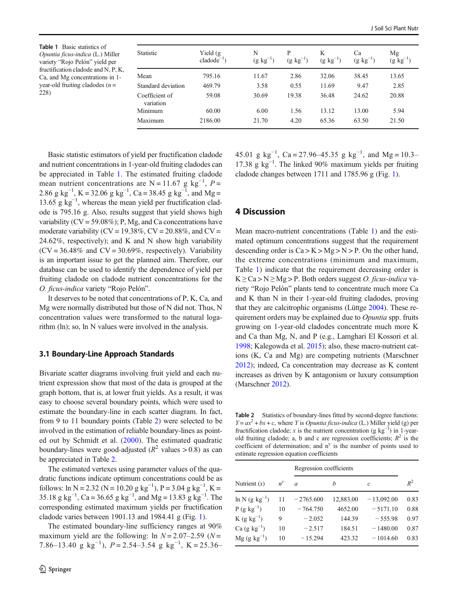<span id="page-3-0"></span>Table 1 Basic statistics of Opuntia ficus-indica (L.) Miller variety "Rojo Pelón" yield per fructification cladode and N, P, K, Ca, and Mg concentrations in 1 year-old fruiting cladodes  $(n =$ 228)

| <b>Statistic</b>            | Yield $(g$<br>$cladode^{-1}$ | N<br>$(g \text{ kg}^{-1})$ | P<br>$(g \text{ kg}^{-1})$ | K<br>$(g \text{ kg}^{-1})$ | Ca<br>$(g \text{ kg}^{-1})$ | Mg<br>$(g \; kg^{-1})$ |
|-----------------------------|------------------------------|----------------------------|----------------------------|----------------------------|-----------------------------|------------------------|
| Mean                        | 795.16                       | 11.67                      | 2.86                       | 32.06                      | 38.45                       | 13.65                  |
| Standard deviation          | 469.79                       | 3.58                       | 0.55                       | 11.69                      | 9.47                        | 2.85                   |
| Coefficient of<br>variation | 59.08                        | 30.69                      | 19.38                      | 36.48                      | 24.62                       | 20.88                  |
| Minimum                     | 60.00                        | 6.00                       | 1.56                       | 13.12                      | 13.00                       | 5.94                   |
| Maximum                     | 2186.00                      | 21.70                      | 4.20                       | 65.36                      | 63.50                       | 21.50                  |

Basic statistic estimators of yield per fructification cladode and nutrient concentrations in 1-year-old fruiting cladodes can be appreciated in Table 1. The estimated fruiting cladode mean nutrient concentrations are N = 11.67 g kg<sup>-1</sup>,  $P =$ 2.86 g kg<sup>-1</sup>, K = 32.06 g kg<sup>-1</sup>, Ca = 38.45 g kg<sup>-1</sup>, and Mg = 13.65 g kg<sup>-1</sup>, whereas the mean yield per fructification cladode is 795.16 g. Also, results suggest that yield shows high variability ( $CV = 59.08\%$ ); P, Mg, and Ca concentrations have moderate variability (CV = 19.38%, CV =  $20.88\%$ , and CV = 24.62%, respectively); and K and N show high variability  $(CV = 36.48\%$  and  $CV = 30.69\%$ , respectively). Variability is an important issue to get the planned aim. Therefore, our database can be used to identify the dependence of yield per fruiting cladode on cladode nutrient concentrations for the O. ficus-indica variety "Rojo Pelón".

It deserves to be noted that concentrations of P, K, Ca, and Mg were normally distributed but those of N did not. Thus, N concentration values were transformed to the natural logarithm (ln); so, ln N values were involved in the analysis.

#### 3.1 Boundary-Line Approach Standards

Bivariate scatter diagrams involving fruit yield and each nutrient expression show that most of the data is grouped at the graph bottom, that is, at lower fruit yields. As a result, it was easy to choose several boundary points, which were used to estimate the boundary-line in each scatter diagram. In fact, from 9 to 11 boundary points (Table 2) were selected to be involved in the estimation of reliable boundary-lines as pointed out by Schmidt et al. [\(2000\)](#page-8-0). The estimated quadratic boundary-lines were good-adjusted ( $R^2$  values > 0.8) as can be appreciated in Table 2.

The estimated vertexes using parameter values of the quadratic functions indicate optimum concentrations could be as follows: ln N = 2.32 (N = 10.20 g kg<sup>-1</sup>), P = 3.04 g kg<sup>-1</sup>, K = 35.18 g kg<sup>-1</sup>, Ca = 36.65 g kg<sup>-1</sup>, and Mg = 13.83 g kg<sup>-1</sup>. The corresponding estimated maximum yields per fructification cladode varies between 1901.13 and 1984.41 g (Fig. [1\)](#page-4-0).

The estimated boundary-line sufficiency ranges at 90% maximum yield are the following: ln  $N = 2.07 - 2.59$  ( $N =$ 7.86–13.40 g kg<sup>-1</sup>),  $P = 2.54$ –3.54 g kg<sup>-1</sup>, K = 25.36–

45.01 g kg<sup>-1</sup>, Ca = 27.96–45.35 g kg<sup>-1</sup>, and Mg = 10.3– 17.38 g kg−<sup>1</sup> . The linked 90% maximum yields per fruiting cladode changes between 1711 and 1785.96 g (Fig. [1\)](#page-4-0).

## 4 Discussion

Mean macro-nutrient concentrations (Table 1) and the estimated optimum concentrations suggest that the requirement descending order is  $Ca > K > Mg > N > P$ . On the other hand, the extreme concentrations (minimum and maximum, Table 1) indicate that the requirement decreasing order is  $K \geq Ca > N \geq Mg > P$ . Both orders suggest O. ficus-indica variety "Rojo Pelón" plants tend to concentrate much more Ca and K than N in their 1-year-old fruiting cladodes, proving that they are calcitrophic organisms (Lüttge [2004](#page-7-0)). These requirement orders may be explained due to Opuntia spp. fruits growing on 1-year-old cladodes concentrate much more K and Ca than Mg, N, and P (e.g., Lamghari El Kossori et al. [1998;](#page-7-0) Kalegowda et al. [2015\)](#page-7-0); also, these macro-nutrient cations (K, Ca and Mg) are competing nutrients (Marschner [2012\)](#page-7-0); indeed, Ca concentration may decrease as K content increases as driven by K antagonism or luxury consumption (Marschner [2012\)](#page-7-0).

Table 2 Statistics of boundary-lines fitted by second-degree functions:  $Y = ax^2 + bx + c$ , where Y is *Opuntia ficus-indica* (L.) Miller yield (g) per fructification cladode; x is the nutrient concentration (g  $kg^{-1}$ ) in 1-yearold fruiting cladode; a, b and c are regression coefficients;  $R^2$  is the coefficient of determination; and  $n<sup>y</sup>$  is the number of points used to estimate regression equation coefficients

| $R^2$ |
|-------|
| 0.83  |
| 0.88  |
| 0.97  |
| 0.87  |
| 0.83  |
|       |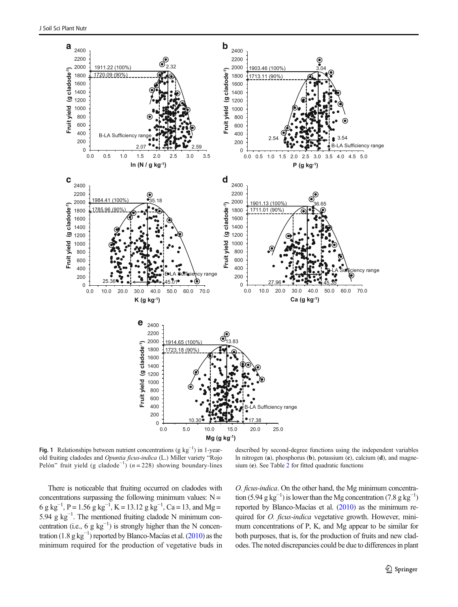<span id="page-4-0"></span>

Fig. 1 Relationships between nutrient concentrations ( $g kg^{-1}$ ) in 1-yearold fruiting cladodes and Opuntia ficus-indica (L.) Miller variety "Rojo Pelón" fruit yield (g cladode<sup>-1</sup>) (n = 228) showing boundary-lines

There is noticeable that fruiting occurred on cladodes with concentrations surpassing the following minimum values:  $N =$ 6 g kg<sup>-1</sup>, P = 1.56 g kg<sup>-1</sup>, K = 13.12 g kg<sup>-1</sup>, Ca = 13, and Mg = 5.94 g kg−<sup>1</sup> . The mentioned fruiting cladode N minimum concentration (i.e., 6 g  $kg^{-1}$ ) is strongly higher than the N concentration (1.8  $g kg^{-1}$ ) reported by Blanco-Macías et al. ([2010](#page-7-0)) as the minimum required for the production of vegetative buds in

described by second-degree functions using the independent variables ln nitrogen (a), phosphorus (b), potassium (c), calcium (d), and magnesium (e). See Table [2](#page-3-0) for fitted quadratic functions

O. ficus-indica. On the other hand, the Mg minimum concentration (5.94 g kg<sup>-1</sup>) is lower than the Mg concentration (7.8 g kg<sup>-1</sup>) reported by Blanco-Macías et al. ([2010\)](#page-7-0) as the minimum required for *O. ficus-indica* vegetative growth. However, minimum concentrations of P, K, and Mg appear to be similar for both purposes, that is, for the production of fruits and new cladodes. The noted discrepancies could be due to differences in plant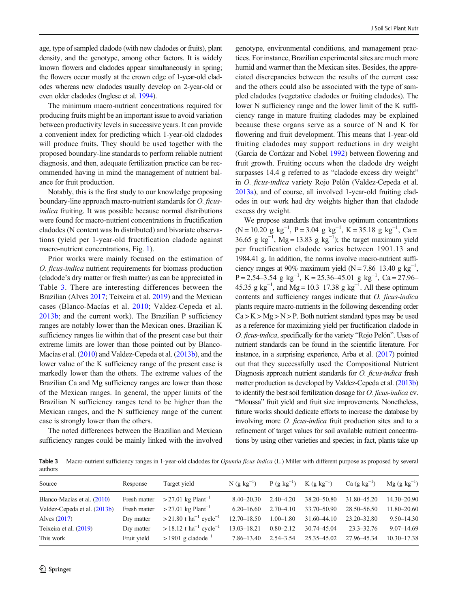J Soil Sci Plant Nutr

age, type of sampled cladode (with new cladodes or fruits), plant density, and the genotype, among other factors. It is widely known flowers and cladodes appear simultaneously in spring; the flowers occur mostly at the crown edge of 1-year-old cladodes whereas new cladodes usually develop on 2-year-old or even older cladodes (Inglese et al. [1994\)](#page-7-0).

The minimum macro-nutrient concentrations required for producing fruits might be an important issue to avoid variation between productivity levels in successive years. It can provide a convenient index for predicting which 1-year-old cladodes will produce fruits. They should be used together with the proposed boundary-line standards to perform reliable nutrient diagnosis, and then, adequate fertilization practice can be recommended having in mind the management of nutrient balance for fruit production.

Notably, this is the first study to our knowledge proposing boundary-line approach macro-nutrient standards for O. ficusindica fruiting. It was possible because normal distributions were found for macro-nutrient concentrations in fructification cladodes (N content was ln distributed) and bivariate observations (yield per 1-year-old fructification cladode against macro-nutrient concentrations, Fig. [1](#page-4-0)).

Prior works were mainly focused on the estimation of O. ficus-indica nutrient requirements for biomass production (cladode's dry matter or fresh matter) as can be appreciated in Table 3. There are interesting differences between the Brazilian (Alves [2017;](#page-7-0) Teixeira et al. [2019](#page-8-0)) and the Mexican cases (Blanco-Macías et al. [2010](#page-7-0); Valdez-Cepeda et al. [2013b;](#page-8-0) and the current work). The Brazilian P sufficiency ranges are notably lower than the Mexican ones. Brazilian K sufficiency ranges lie within that of the present case but their extreme limits are lower than those pointed out by Blanco-Macías et al. [\(2010\)](#page-7-0) and Valdez-Cepeda et al. [\(2013b\)](#page-8-0), and the lower value of the K sufficiency range of the present case is markedly lower than the others. The extreme values of the Brazilian Ca and Mg sufficiency ranges are lower than those of the Mexican ranges. In general, the upper limits of the Brazilian N sufficiency ranges tend to be higher than the Mexican ranges, and the N sufficiency range of the current case is strongly lower than the others.

The noted differences between the Brazilian and Mexican sufficiency ranges could be mainly linked with the involved genotype, environmental conditions, and management practices. For instance, Brazilian experimental sites are much more humid and warmer than the Mexican sites. Besides, the appreciated discrepancies between the results of the current case and the others could also be associated with the type of sampled cladodes (vegetative cladodes or fruiting cladodes). The lower N sufficiency range and the lower limit of the K sufficiency range in mature fruiting cladodes may be explained because these organs serve as a source of N and K for flowering and fruit development. This means that 1-year-old fruiting cladodes may support reductions in dry weight (García de Cortázar and Nobel [1992\)](#page-7-0) between flowering and fruit growth. Fruiting occurs when the cladode dry weight surpasses 14.4 g referred to as "cladode excess dry weight" in O. ficus-indica variety Rojo Pelón (Valdez-Cepeda et al. [2013a\)](#page-8-0), and of course, all involved 1-year-old fruiting cladodes in our work had dry weights higher than that cladode excess dry weight.

We propose standards that involve optimum concentrations  $(N = 10.20 \text{ g kg}^{-1}, P = 3.04 \text{ g kg}^{-1}, K = 35.18 \text{ g kg}^{-1}, Ca =$ 36.65 g kg<sup>-1</sup>, Mg = 13.83 g kg<sup>-1</sup>); the target maximum yield per fructification cladode varies between 1901.13 and 1984.41 g. In addition, the norms involve macro-nutrient sufficiency ranges at 90% maximum yield (N = 7.86–13.40 g kg<sup>-1</sup>, P = 2.54–3.54 g kg<sup>-1</sup>, K = 25.36–45.01 g kg<sup>-1</sup>, Ca = 27.96– 45.35 g kg<sup>-1</sup>, and Mg = 10.3–17.38 g kg<sup>-1</sup>. All these optimum contents and sufficiency ranges indicate that O. ficus-indica plants require macro-nutrients in the following descending order  $Ca > K > Mg > N > P$ . Both nutrient standard types may be used as a reference for maximizing yield per fructification cladode in O. ficus-indica, specifically for the variety "Rojo Pelón". Uses of nutrient standards can be found in the scientific literature. For instance, in a surprising experience, Arba et al. [\(2017](#page-7-0)) pointed out that they successfully used the Compositional Nutrient Diagnosis approach nutrient standards for *O. ficus-indica* fresh matter production as developed by Valdez-Cepeda et al. ([2013b](#page-8-0)) to identify the best soil fertilization dosage for O. ficus-indica cv. "Moussa" fruit yield and fruit size improvements. Nonetheless, future works should dedicate efforts to increase the database by involving more O. ficus-indica fruit production sites and to a refinement of target values for soil available nutrient concentrations by using other varieties and species; in fact, plants take up

Table 3 Macro-nutrient sufficiency ranges in 1-year-old cladodes for *Opuntia ficus-indica* (L.) Miller with different purpose as proposed by several authors

| Source                       | Response     | Target yield                                     | $N(g kg^{-1})$  |               | $P(g kg^{-1})$ K $(g kg^{-1})$ | Ca $(g \text{ kg}^{-1})$ | $Mg (g kg^{-1})$ |
|------------------------------|--------------|--------------------------------------------------|-----------------|---------------|--------------------------------|--------------------------|------------------|
| Blanco-Macías et al. (2010)  |              | Fresh matter $>27.01 \text{ kg Plant}^{-1}$      | $8.40 - 20.30$  | $2.40 - 4.20$ | 38.20 - 50.80                  | 31.80 - 45.20            | 14.30-20.90      |
| Valdez-Cepeda et al. (2013b) | Fresh matter | $>$ 27.01 kg Plant <sup>-1</sup>                 | $6.20 - 16.60$  | $2.70 - 4.10$ | 33.70-50.90                    | 28.50–56.50              | 11.80-20.60      |
| Alves $(2017)$               | Dry matter   | $>$ 21.80 t ha <sup>-1</sup> cycle <sup>-1</sup> | $12.70 - 18.50$ | $1.00 - 1.80$ | 31.60-44.10                    | $23.20 - 32.80$          | $9.50 - 14.30$   |
| Teixeira et al. (2019)       | Dry matter   | $> 18.12$ t ha <sup>-1</sup> cycle <sup>-1</sup> | $13.03 - 18.21$ | $0.80 - 2.12$ | 30.74 - 45.04                  | $23.3 - 32.76$           | $9.07 - 14.69$   |
| This work                    | Fruit yield  | $> 1901$ g cladode <sup>-1</sup>                 | 7.86–13.40      | $2.54 - 3.54$ | 25.35 - 45.02                  | 27.96-45.34              | $10.30 - 17.38$  |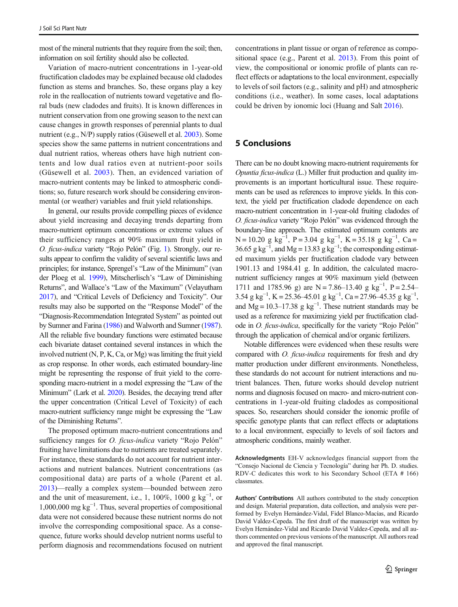most of the mineral nutrients that they require from the soil; then, information on soil fertility should also be collected.

Variation of macro-nutrient concentrations in 1-year-old fructification cladodes may be explained because old cladodes function as stems and branches. So, these organs play a key role in the reallocation of nutrients toward vegetative and floral buds (new cladodes and fruits). It is known differences in nutrient conservation from one growing season to the next can cause changes in growth responses of perennial plants to dual nutrient (e.g., N/P) supply ratios (Güsewell et al. [2003](#page-7-0)). Some species show the same patterns in nutrient concentrations and dual nutrient ratios, whereas others have high nutrient contents and low dual ratios even at nutrient-poor soils (Güsewell et al. [2003](#page-7-0)). Then, an evidenced variation of macro-nutrient contents may be linked to atmospheric conditions; so, future research work should be considering environmental (or weather) variables and fruit yield relationships.

In general, our results provide compelling pieces of evidence about yield increasing and decaying trends departing from macro-nutrient optimum concentrations or extreme values of their sufficiency ranges at 90% maximum fruit yield in O. ficus-indica variety "Rojo Pelón" (Fig. [1\)](#page-4-0). Strongly, our results appear to confirm the validity of several scientific laws and principles; for instance, Sprengel's "Law of the Minimum" (van der Ploeg et al. [1999\)](#page-8-0), Mitscherlisch's "Law of Diminishing Returns", and Wallace's "Law of the Maximum" (Velayutham [2017\)](#page-8-0), and "Critical Levels of Deficiency and Toxicity". Our results may also be supported on the "Response Model" of the "Diagnosis-Recommendation Integrated System" as pointed out by Sumner and Farina [\(1986\)](#page-8-0) and Walworth and Sumner [\(1987\)](#page-8-0). All the reliable five boundary functions were estimated because each bivariate dataset contained several instances in which the involved nutrient (N, P, K, Ca, or Mg) was limiting the fruit yield as crop response. In other words, each estimated boundary-line might be representing the response of fruit yield to the corresponding macro-nutrient in a model expressing the "Law of the Minimum" (Lark et al. [2020\)](#page-7-0). Besides, the decaying trend after the upper concentration (Critical Level of Toxicity) of each macro-nutrient sufficiency range might be expressing the "Law of the Diminishing Returns".

The proposed optimum macro-nutrient concentrations and sufficiency ranges for *O. ficus-indica* variety "Rojo Pelón" fruiting have limitations due to nutrients are treated separately. For instance, these standards do not account for nutrient interactions and nutrient balances. Nutrient concentrations (as compositional data) are parts of a whole (Parent et al. [2013](#page-7-0))—really a complex system—bounded between zero and the unit of measurement, i.e., 1, 100%, 1000  $g kg^{-1}$ , or 1,000,000 mg kg−<sup>1</sup> . Thus, several properties of compositional data were not considered because these nutrient norms do not involve the corresponding compositional space. As a consequence, future works should develop nutrient norms useful to perform diagnosis and recommendations focused on nutrient concentrations in plant tissue or organ of reference as compositional space (e.g., Parent et al. [2013\)](#page-7-0). From this point of view, the compositional or ionomic profile of plants can reflect effects or adaptations to the local environment, especially to levels of soil factors (e.g., salinity and pH) and atmospheric conditions (i.e., weather). In some cases, local adaptations could be driven by ionomic loci (Huang and Salt [2016](#page-7-0)).

# 5 Conclusions

There can be no doubt knowing macro-nutrient requirements for Opuntia ficus-indica (L.) Miller fruit production and quality improvements is an important horticultural issue. These requirements can be used as references to improve yields. In this context, the yield per fructification cladode dependence on each macro-nutrient concentration in 1-year-old fruiting cladodes of O. ficus-indica variety "Rojo Pelón" was evidenced through the boundary-line approach. The estimated optimum contents are N = 10.20 g kg<sup>-1</sup>, P = 3.04 g kg<sup>-1</sup>, K = 35.18 g kg<sup>-1</sup>, Ca = 36.65 g kg<sup>-1</sup>, and Mg = 13.83 g kg<sup>-1</sup>; the corresponding estimated maximum yields per fructification cladode vary between 1901.13 and 1984.41 g. In addition, the calculated macronutrient sufficiency ranges at 90% maximum yield (between 1711 and 1785.96 g) are N = 7.86–13.40 g kg<sup>-1</sup>, P = 2.54– 3.54 g kg<sup>-1</sup>, K = 25.36–45.01 g kg<sup>-1</sup>, Ca = 27.96–45.35 g kg<sup>-1</sup>, and Mg =  $10.3$ –17.38 g kg<sup>-1</sup>. These nutrient standards may be used as a reference for maximizing yield per fructification cladode in O. ficus-indica, specifically for the variety "Rojo Pelón" through the application of chemical and/or organic fertilizers.

Notable differences were evidenced when these results were compared with O. ficus-indica requirements for fresh and dry matter production under different environments. Nonetheless, these standards do not account for nutrient interactions and nutrient balances. Then, future works should develop nutrient norms and diagnosis focused on macro- and micro-nutrient concentrations in 1-year-old fruiting cladodes as compositional spaces. So, researchers should consider the ionomic profile of specific genotype plants that can reflect effects or adaptations to a local environment, especially to levels of soil factors and atmospheric conditions, mainly weather.

Acknowledgments EH-V acknowledges financial support from the "Consejo Nacional de Ciencia y Tecnología" during her Ph. D. studies. RDV-C dedicates this work to his Secondary School (ETA # 166) classmates.

Authors' Contributions All authors contributed to the study conception and design. Material preparation, data collection, and analysis were performed by Evelyn Hernández-Vidal, Fidel Blanco-Macías, and Ricardo David Valdez-Cepeda. The first draft of the manuscript was written by Evelyn Hernández-Vidal and Ricardo David Valdez-Cepeda, and all authors commented on previous versions of the manuscript. All authors read and approved the final manuscript.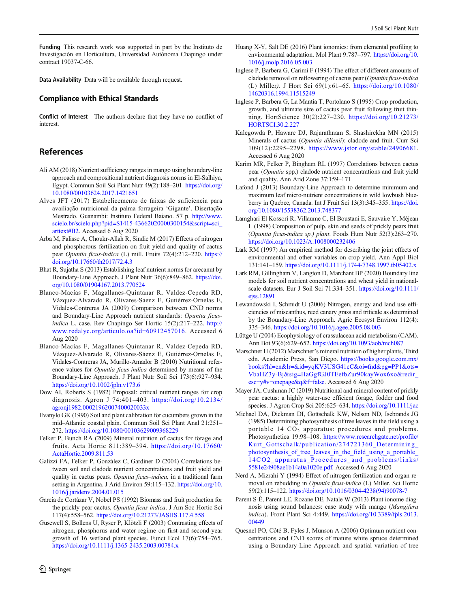<span id="page-7-0"></span>Funding This research work was supported in part by the Instituto de Investigación en Horticultura, Universidad Autónoma Chapingo under contract 19037-C-66.

Data Availability Data will be available through request.

## Compliance with Ethical Standards

Conflict of Interest The authors declare that they have no conflict of interest.

# References

- Ali AM (2018) Nutrient sufficiency ranges in mango using boundary-line approach and compositional nutrient diagnosis norms in El-Salhiya, Egypt. Commun Soil Sci Plant Nutr 49(2):188–201. [https://doi.org/](https://doi.org/10.1080/00103624.2017.1421651) [10.1080/00103624.2017.1421651](https://doi.org/10.1080/00103624.2017.1421651)
- Alves JFT (2017) Estabelicemento de faixas de suficiencia para availiação nutricional da palma forrageira 'Gigante'. Disertação Mestrado. Guanambi: Instituto Federal Baiano. 57 p. [http://www.](https://www.scielo.br/scielo.php?pid=1415-script=ci_arttext#B2) [scielo.br/scielo.php?pid=S1415-43662020000300154&script=sci\\_](https://www.scielo.br/scielo.php?pid=1415-script=ci_arttext#B2) [arttext#B2](https://www.scielo.br/scielo.php?pid=1415-script=ci_arttext#B2). Accessed 6 Aug 2020
- Arba M, Falisse A, Choukr-Allah R, Sindic M (2017) Effects of nitrogen and phosphorous fertilization on fruit yield and quality of cactus pear Opuntia ficus-indica (L) mill. Fruits 72(4):212–220. [https://](https://doi.org/10.17660/th2017/72.4.3) [doi.org/10.17660/th2017/72.4.3](https://doi.org/10.17660/th2017/72.4.3)
- Bhat R, Sujatha S (2013) Establishing leaf nutrient norms for arecanut by Boundary-Line Approach. J Plant Nutr 36(6):849–862. [https://doi.](https://doi.org/10.1080/01904167.2013.770524) [org/10.1080/01904167.2013.770524](https://doi.org/10.1080/01904167.2013.770524)
- Blanco-Macías F, Magallanes-Quintanar R, Valdez-Cepeda RD, Vázquez-Alvarado R, Olivares-Sáenz E, Gutiérrez-Ornelas E, Vidales-Contreras JA (2009) Comparison between CND norms and Boundary-Line Approach nutrient standards: Opuntia ficusindica L. case. Rev Chapingo Ser Hortic 15(2):217–222. http:// www.redalyc.org/articulo.oa?id=60912457016. Accessed 6 Aug 2020
- Blanco-Macías F, Magallanes-Quintanar R, Valdez-Cepeda RD, Vázquez-Alvarado R, Olivares-Sáenz E, Gutiérrez-Ornelas E, Vidales-Contreras JA, Murillo-Amador B (2010) Nutritional reference values for Opuntia ficus-indica determined by means of the Boundary-Line Approach. J Plant Nutr Soil Sci 173(6):927–934. <https://doi.org/10.1002/jpln.v173.6>
- Dow AI, Roberts S (1982) Proposal: critical nutrient ranges for crop diagnosis. Agron J 74:401–403. [https://doi.org/10.2134/](https://doi.org/10.2134/agronj1982.00021962007400020033x) [agronj1982.00021962007400020033x](https://doi.org/10.2134/agronj1982.00021962007400020033x)
- Evanylo GK (1990) Soil and plant calibration for cucumbers grown in the mid–Atlantic coastal plain. Commun Soil Sci Plant Anal 21:251– 272. <https://doi.org/10.1080/00103629009368229>
- Felker P, Bunch RA (2009) Mineral nutrition of cactus for forage and fruits. Acta Hortic 811:389–394. [https://doi.org/10.17660/](https://doi.org/10.17660/ActaHortic.2009.811.53) [ActaHortic.2009.811.53](https://doi.org/10.17660/ActaHortic.2009.811.53)
- Galizzi FA, Felker P, González C, Gardiner D (2004) Correlations between soil and cladode nutrient concentrations and fruit yield and quality in cactus pears, Opuntia ficus-indica, in a traditional farm setting in Argentina. J Arid Environ 59:115–132. [https://doi.org/10.](https://doi.org/10.1016/j.jaridenv.2004.01.015) [1016/j.jaridenv.2004.01.015](https://doi.org/10.1016/j.jaridenv.2004.01.015)
- García de Cortázar V, Nobel PS (1992) Biomass and fruit production for the prickly pear cactus, Opuntia ficus-indica. J Am Soc Hortic Sci 117(4):558–562. <https://doi.org/10.21273/JASHS.117.4.558>
- Güsewell S, Bollens U, Ryser P, Klötzli F (2003) Contrasting effects of nitrogen, phosphorus and water regime on first-and second-year growth of 16 wetland plant species. Funct Ecol 17(6):754–765. <https://doi.org/10.1111/j.1365-2435.2003.00784.x>
- Inglese P, Barbera G, Carimi F (1994) The effect of different amounts of cladode removal on reflowering of cactus pear (Opuntia ficus-indica (L) Miller). J Hort Sci 69(1):61–65. [https://doi.org/10.1080/](https://doi.org/10.1080/14620316.1994.11515249) [14620316.1994.11515249](https://doi.org/10.1080/14620316.1994.11515249)
- Inglese P, Barbera G, La Mantia T, Portolano S (1995) Crop production, growth, and ultimate size of cactus pear fruit following fruit thinning. HortScience 30(2):227–230. [https://doi.org/10.21273/](https://doi.org/10.21273/HORTSCI.30.2.227) [HORTSCI.30.2.227](https://doi.org/10.21273/HORTSCI.30.2.227)
- Kalegowda P, Haware DJ, Rajarathnam S, Shashirekha MN (2015) Minerals of cactus (Opuntia dillenii): cladode and fruit. Curr Sci 109(12):2295–2298. <https://www.jstor.org/stable/24906681>. Accessed 6 Aug 2020
- Karim MR, Felker P, Bingham RL (1997) Correlations between cactus pear (Opuntia spp.) cladode nutrient concentrations and fruit yield and quality. Ann Arid Zone 37:159–171
- Lafond J (2013) Boundary-Line Approach to determine minimum and maximum leaf micro-nutrient concentrations in wild lowbush blueberry in Quebec, Canada. Int J Fruit Sci 13(3):345–355. [https://doi.](https://doi.org/10.1080/15538362.2013.748377) [org/10.1080/15538362.2013.748377](https://doi.org/10.1080/15538362.2013.748377)
- Lamghari El Kossori R, Villaume C, El Boustani E, Sauvaire Y, Méjean L (1998) Composition of pulp, skin and seeds of prickly pears fruit (Opuntia ficus-indica sp.) plant. Foods Hum Nutr 52(3):263–270. <https://doi.org/10.1023/A:1008000232406>
- Lark RM (1997) An empirical method for describing the joint effects of environmental and other variables on crop yield. Ann Appl Biol 131:141–159. <https://doi.org/10.1111/j.1744-7348.1997.tb05402.x>
- Lark RM, Gillingham V, Langton D, Marchant BP (2020) Boundary line models for soil nutrient concentrations and wheat yield in nationalscale datasets. Eur J Soil Sci 71:334–351. [https://doi.org/10.1111/](https://doi.org/10.1111/ejss.12891) [ejss.12891](https://doi.org/10.1111/ejss.12891)
- Lewandowski I, Schmidt U (2006) Nitrogen, energy and land use efficiencies of miscanthus, reed canary grass and triticale as determined by the Boundary-Line Approach. Agric Ecosyst Environ 112(4): 335–346. <https://doi.org/10.1016/j.agee.2005.08.003>
- Lüttge U (2004) Ecophysiology of crassulacean acid metabolism (CAM). Ann Bot 93(6):629–652. <https://doi.org/10.1093/aob/mch087>
- Marschner H (2012) Marschner's mineral nutrition of higher plants, Third edn. Academic Press, San Diego. [https://books.google.com.mx/](https://books.google.com.mx/books?hln&lr=id=qKV3USG41cC&oind&pg=P1&ots=baHZ3y-j&sig=aGgfGJ0TEefbZur90kayWox6xo&redir_esc=#vnepage&q&false) [books?hl=en&lr=&id=yqKV3USG41cC&oi=fnd&pg=PP1&ots=](https://books.google.com.mx/books?hln&lr=id=qKV3USG41cC&oind&pg=P1&ots=baHZ3y-j&sig=aGgfGJ0TEefbZur90kayWox6xo&redir_esc=#vnepage&q&false) [VbaHZ3y-Bj&sig=HaGgfGJ0TEefbZur90kayWox6xo&redir\\_](https://books.google.com.mx/books?hln&lr=id=qKV3USG41cC&oind&pg=P1&ots=baHZ3y-j&sig=aGgfGJ0TEefbZur90kayWox6xo&redir_esc=#vnepage&q&false) [esc=y#v=onepage&q&f=false](https://books.google.com.mx/books?hln&lr=id=qKV3USG41cC&oind&pg=P1&ots=baHZ3y-j&sig=aGgfGJ0TEefbZur90kayWox6xo&redir_esc=#vnepage&q&false). Accessed 6 Aug 2020
- Mayer JA, Cushman JC (2019) Nutritional and mineral content of prickly pear cactus: a highly water-use efficient forage, fodder and food species. J Agron Crop Sci 205:625–634. <https://doi.org/10.1111/jac>
- Michael DA, Dickman DI, Gottschalk KW, Nelson ND, Isebrands JG (1985) Determining photosynthesis of tree leaves in the field using a portable 14 CO<sub>2</sub> apparatus: procedures and problems. Photosynthetica 19:98–108. [https://www.researchgate.net/profile/](https://www.researchgate.net/profile/Kurt_Gottschalk/publication/274721360_Determining_photosynthesis_of_tree_leaves_in_the_field_using_a_portable_14CO2_apparatus_Procedures_and_problems/links/5581e24908ae1b14a0a1020e.pdf) Kurt Gottschalk/publication/274721360 Determining photosynthesis of tree\_leaves\_in\_the\_field\_using\_a\_portable [14CO2\\_apparatus\\_Procedur](https://www.researchgate.net/profile/Kurt_Gottschalk/publication/274721360_Determining_photosynthesis_of_tree_leaves_in_the_field_using_a_portable_14CO2_apparatus_Procedures_and_problems/links/5581e24908ae1b14a0a1020e.pdf)es\_and\_problems/links/ [5581e24908ae1b14a0a1020e.pdf](https://www.researchgate.net/profile/Kurt_Gottschalk/publication/274721360_Determining_photosynthesis_of_tree_leaves_in_the_field_using_a_portable_14CO2_apparatus_Procedures_and_problems/links/5581e24908ae1b14a0a1020e.pdf). Accessed 6 Aug 2020
- Nerd A, Mizrahi Y (1994) Effect of nitrogen fertilization and organ removal on rebudding in Opuntia ficus-indica (L) Miller. Sci Hortic 59(2):115–122. [https://doi.org/10.1016/0304-4238\(94\)90078-7](https://doi.org/10.1016/0304-4238(94)90078-7)
- Parent S-É, Parent LE, Rozane DE, Natale W (2013) Plant ionome diagnosis using sound balances: case study with mango (Mangifera indica). Front Plant Sci 4:449. [https://doi.org/10.3389/fpls.2013.](https://doi.org/10.3389/fpls.2013.00449) [00449](https://doi.org/10.3389/fpls.2013.00449)
- Quesnel PO, Côté B, Fyles J, Munson A (2006) Optimum nutrient concentrations and CND scores of mature white spruce determined using a Boundary-Line Approach and spatial variation of tree